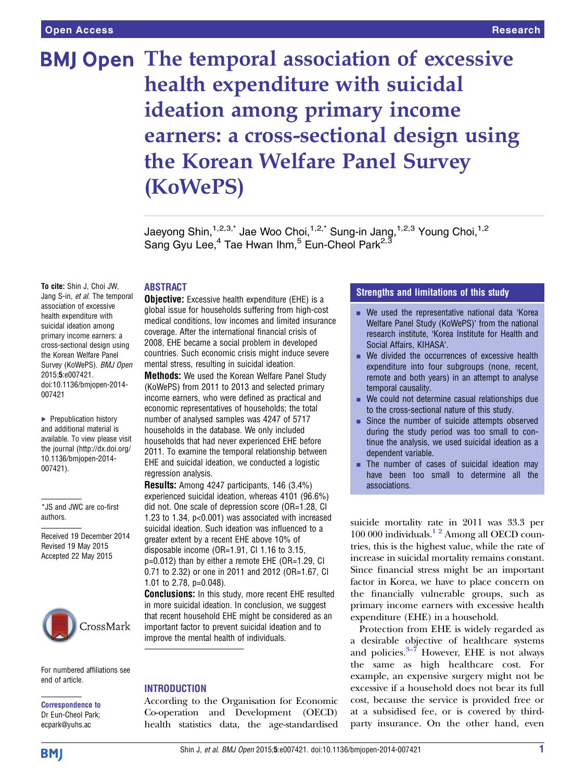# **BMJ Open The temporal association of excessive** health expenditure with suicidal ideation among primary income earners: a cross-sectional design using the Korean Welfare Panel Survey (KoWePS)

Jaeyong Shin,<sup>1,2,3,\*</sup> Jae Woo Choi,<sup>1,2,\*</sup> Sung-in Jang,<sup>1,2,3</sup> Young Choi,<sup>1,2</sup> Sang Gyu Lee,  $4$  Tae Hwan Ihm,  $5$  Eun-Cheol Park<sup>2, 3</sup>

# ABSTRACT

To cite: Shin J, Choi JW, Jang S-in, et al. The temporal association of excessive health expenditure with suicidal ideation among primary income earners: a cross-sectional design using the Korean Welfare Panel Survey (KoWePS). BMJ Open 2015;5:e007421. doi:10.1136/bmjopen-2014- 007421

▶ Prepublication history and additional material is available. To view please visit the journal [\(http://dx.doi.org/](http://dx.doi.org/10.1136/bmjopen-2014-007421) [10.1136/bmjopen-2014-](http://dx.doi.org/10.1136/bmjopen-2014-007421) [007421\)](http://dx.doi.org/10.1136/bmjopen-2014-007421).

\*JS and JWC are co-first authors.

Received 19 December 2014 Revised 19 May 2015 Accepted 22 May 2015



For numbered affiliations see end of article.

Correspondence to Dr Eun-Cheol Park; ecpark@yuhs.ac

**Objective:** Excessive health expenditure (EHE) is a global issue for households suffering from high-cost medical conditions, low incomes and limited insurance coverage. After the international financial crisis of 2008, EHE became a social problem in developed countries. Such economic crisis might induce severe mental stress, resulting in suicidal ideation.

Methods: We used the Korean Welfare Panel Study (KoWePS) from 2011 to 2013 and selected primary income earners, who were defined as practical and economic representatives of households; the total number of analysed samples was 4247 of 5717 households in the database. We only included households that had never experienced EHE before 2011. To examine the temporal relationship between EHE and suicidal ideation, we conducted a logistic regression analysis.

Results: Among 4247 participants, 146 (3.4%) experienced suicidal ideation, whereas 4101 (96.6%) did not. One scale of depression score (OR=1.28, CI 1.23 to 1.34, p<0.001) was associated with increased suicidal ideation. Such ideation was influenced to a greater extent by a recent EHE above 10% of disposable income (OR=1.91, CI 1.16 to 3.15, p=0.012) than by either a remote EHE (OR=1.29, CI 0.71 to 2.32) or one in 2011 and 2012 (OR=1.67, CI 1.01 to 2.78, p=0.048).

Conclusions: In this study, more recent EHE resulted in more suicidal ideation. In conclusion, we suggest that recent household EHE might be considered as an important factor to prevent suicidal ideation and to improve the mental health of individuals.

#### INTRODUCTION

According to the Organisation for Economic Co-operation and Development (OECD) health statistics data, the age-standardised

# Strengths and limitations of this study

- $\blacksquare$  We used the representative national data 'Korea Welfare Panel Study (KoWePS)' from the national research institute, 'Korea Institute for Health and Social Affairs, KIHASA'.
- We divided the occurrences of excessive health expenditure into four subgroups (none, recent, remote and both years) in an attempt to analyse temporal causality.
- We could not determine casual relationships due to the cross-sectional nature of this study.
- Since the number of suicide attempts observed during the study period was too small to continue the analysis, we used suicidal ideation as a dependent variable.
- **The number of cases of suicidal ideation may** have been too small to determine all the associations.

suicide mortality rate in 2011 was 33.3 per 100 000 individuals. $1^2$  Among all OECD countries, this is the highest value, while the rate of increase in suicidal mortality remains constant. Since financial stress might be an important factor in Korea, we have to place concern on the financially vulnerable groups, such as primary income earners with excessive health expenditure (EHE) in a household.

Protection from EHE is widely regarded as a desirable objective of healthcare systems and policies. $3-7$  However, EHE is not always the same as high healthcare cost. For example, an expensive surgery might not be excessive if a household does not bear its full cost, because the service is provided free or at a subsidised fee, or is covered by thirdparty insurance. On the other hand, even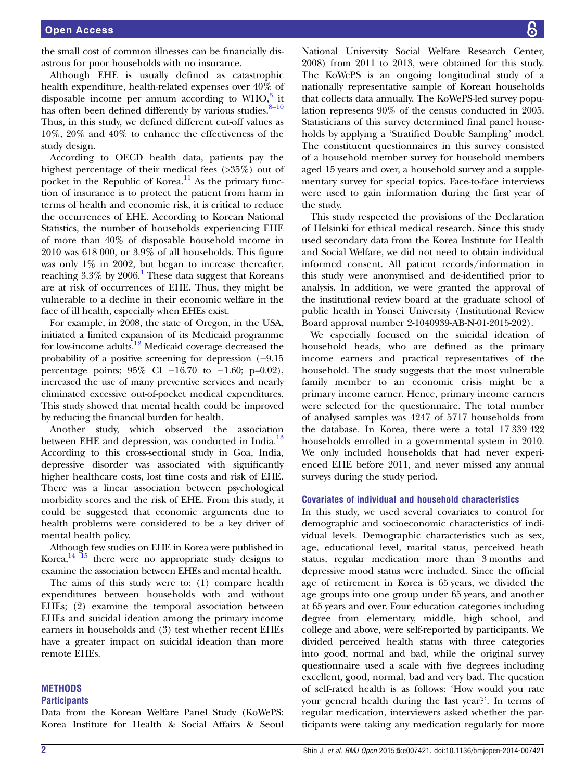the small cost of common illnesses can be financially disastrous for poor households with no insurance.

Although EHE is usually defined as catastrophic health expenditure, health-related expenses over 40% of disposable income per annum according to  $WHO$ <sup>[3](#page-7-0)</sup>, it has often been defined differently by various studies. $8-10$  $8-10$ Thus, in this study, we defined different cut-off values as 10%, 20% and 40% to enhance the effectiveness of the study design.

According to OECD health data, patients pay the highest percentage of their medical fees (>35%) out of pocket in the Republic of Korea.<sup>[11](#page-7-0)</sup> As the primary function of insurance is to protect the patient from harm in terms of health and economic risk, it is critical to reduce the occurrences of EHE. According to Korean National Statistics, the number of households experiencing EHE of more than 40% of disposable household income in 2010 was 618 000, or 3.9% of all households. This figure was only 1% in 2002, but began to increase thereafter, reaching  $3.3\%$  by  $2006$ .<sup>[1](#page-7-0)</sup> These data suggest that Koreans are at risk of occurrences of EHE. Thus, they might be vulnerable to a decline in their economic welfare in the face of ill health, especially when EHEs exist.

For example, in 2008, the state of Oregon, in the USA, initiated a limited expansion of its Medicaid programme for low-income adults[.12](#page-7-0) Medicaid coverage decreased the probability of a positive screening for depression (−9.15 percentage points; 95% CI −16.70 to −1.60; p=0.02), increased the use of many preventive services and nearly eliminated excessive out-of-pocket medical expenditures. This study showed that mental health could be improved by reducing the financial burden for health.

Another study, which observed the association between EHE and depression, was conducted in India.<sup>[13](#page-7-0)</sup> According to this cross-sectional study in Goa, India, depressive disorder was associated with significantly higher healthcare costs, lost time costs and risk of EHE. There was a linear association between psychological morbidity scores and the risk of EHE. From this study, it could be suggested that economic arguments due to health problems were considered to be a key driver of mental health policy.

Although few studies on EHE in Korea were published in Korea, $14$ <sup>15</sup> there were no appropriate study designs to examine the association between EHEs and mental health.

The aims of this study were to: (1) compare health expenditures between households with and without EHEs; (2) examine the temporal association between EHEs and suicidal ideation among the primary income earners in households and (3) test whether recent EHEs have a greater impact on suicidal ideation than more remote EHEs.

### **METHODS**

# **Participants**

Data from the Korean Welfare Panel Study (KoWePS: Korea Institute for Health & Social Affairs & Seoul

National University Social Welfare Research Center, 2008) from 2011 to 2013, were obtained for this study. The KoWePS is an ongoing longitudinal study of a nationally representative sample of Korean households that collects data annually. The KoWePS-led survey population represents 90% of the census conducted in 2005. Statisticians of this survey determined final panel households by applying a 'Stratified Double Sampling' model. The constituent questionnaires in this survey consisted of a household member survey for household members aged 15 years and over, a household survey and a supplementary survey for special topics. Face-to-face interviews were used to gain information during the first year of the study.

This study respected the provisions of the Declaration of Helsinki for ethical medical research. Since this study used secondary data from the Korea Institute for Health and Social Welfare, we did not need to obtain individual informed consent. All patient records/information in this study were anonymised and de-identified prior to analysis. In addition, we were granted the approval of the institutional review board at the graduate school of public health in Yonsei University (Institutional Review Board approval number 2-1040939-AB-N-01-2015-202).

We especially focused on the suicidal ideation of household heads, who are defined as the primary income earners and practical representatives of the household. The study suggests that the most vulnerable family member to an economic crisis might be a primary income earner. Hence, primary income earners were selected for the questionnaire. The total number of analysed samples was 4247 of 5717 households from the database. In Korea, there were a total 17 339 422 households enrolled in a governmental system in 2010. We only included households that had never experienced EHE before 2011, and never missed any annual surveys during the study period.

#### Covariates of individual and household characteristics

In this study, we used several covariates to control for demographic and socioeconomic characteristics of individual levels. Demographic characteristics such as sex, age, educational level, marital status, perceived heath status, regular medication more than 3 months and depressive mood status were included. Since the official age of retirement in Korea is 65 years, we divided the age groups into one group under 65 years, and another at 65 years and over. Four education categories including degree from elementary, middle, high school, and college and above, were self-reported by participants. We divided perceived health status with three categories into good, normal and bad, while the original survey questionnaire used a scale with five degrees including excellent, good, normal, bad and very bad. The question of self-rated health is as follows: 'How would you rate your general health during the last year?'. In terms of regular medication, interviewers asked whether the participants were taking any medication regularly for more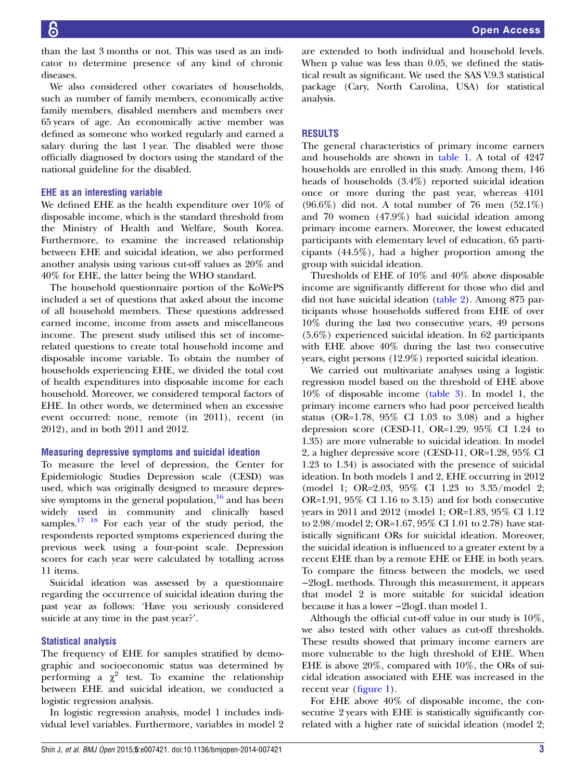than the last 3 months or not. This was used as an indicator to determine presence of any kind of chronic diseases.

We also considered other covariates of households, such as number of family members, economically active family members, disabled members and members over 65 years of age. An economically active member was defined as someone who worked regularly and earned a salary during the last 1 year. The disabled were those officially diagnosed by doctors using the standard of the national guideline for the disabled.

#### EHE as an interesting variable

We defined EHE as the health expenditure over 10% of disposable income, which is the standard threshold from the Ministry of Health and Welfare, South Korea. Furthermore, to examine the increased relationship between EHE and suicidal ideation, we also performed another analysis using various cut-off values as 20% and 40% for EHE, the latter being the WHO standard.

The household questionnaire portion of the KoWePS included a set of questions that asked about the income of all household members. These questions addressed earned income, income from assets and miscellaneous income. The present study utilised this set of incomerelated questions to create total household income and disposable income variable. To obtain the number of households experiencing EHE, we divided the total cost of health expenditures into disposable income for each household. Moreover, we considered temporal factors of EHE. In other words, we determined when an excessive event occurred: none, remote (in 2011), recent (in 2012), and in both 2011 and 2012.

#### Measuring depressive symptoms and suicidal ideation

To measure the level of depression, the Center for Epidemiologic Studies Depression scale (CESD) was used, which was originally designed to measure depressive symptoms in the general population, $\frac{16}{6}$  $\frac{16}{6}$  $\frac{16}{6}$  and has been widely used in community and clinically based samples.<sup>[17 18](#page-8-0)</sup> For each year of the study period, the respondents reported symptoms experienced during the previous week using a four-point scale. Depression scores for each year were calculated by totalling across 11 items.

Suicidal ideation was assessed by a questionnaire regarding the occurrence of suicidal ideation during the past year as follows: 'Have you seriously considered suicide at any time in the past year?'.

#### Statistical analysis

The frequency of EHE for samples stratified by demographic and socioeconomic status was determined by performing a  $\chi^2$  test. To examine the relationship between EHE and suicidal ideation, we conducted a logistic regression analysis.

In logistic regression analysis, model 1 includes individual level variables. Furthermore, variables in model 2

are extended to both individual and household levels. When p value was less than 0.05, we defined the statistical result as significant. We used the SAS V.9.3 statistical package (Cary, North Carolina, USA) for statistical analysis.

# RESULTS

The general characteristics of primary income earners and households are shown in [table 1.](#page-3-0) A total of 4247 households are enrolled in this study. Among them, 146 heads of households (3.4%) reported suicidal ideation once or more during the past year, whereas 4101 (96.6%) did not. A total number of 76 men (52.1%) and 70 women (47.9%) had suicidal ideation among primary income earners. Moreover, the lowest educated participants with elementary level of education, 65 participants (44.5%), had a higher proportion among the group with suicidal ideation.

Thresholds of EHE of 10% and 40% above disposable income are significantly different for those who did and did not have suicidal ideation ([table 2](#page-4-0)). Among 875 participants whose households suffered from EHE of over 10% during the last two consecutive years, 49 persons (5.6%) experienced suicidal ideation. In 62 participants with EHE above 40% during the last two consecutive years, eight persons (12.9%) reported suicidal ideation.

We carried out multivariate analyses using a logistic regression model based on the threshold of EHE above 10% of disposable income [\(table 3\)](#page-5-0). In model 1, the primary income earners who had poor perceived health status (OR=1.78, 95% CI 1.03 to 3.08) and a higher depression score (CESD-11, OR=1.29, 95% CI 1.24 to 1.35) are more vulnerable to suicidal ideation. In model 2, a higher depressive score (CESD-11, OR=1.28, 95% CI 1.23 to 1.34) is associated with the presence of suicidal ideation. In both models 1 and 2, EHE occurring in 2012 (model 1; OR=2.03, 95% CI 1.23 to 3.35/model 2; OR=1.91, 95% CI 1.16 to 3.15) and for both consecutive years in 2011 and 2012 (model 1; OR=1.83, 95% CI 1.12 to 2.98/model 2; OR=1.67, 95% CI 1.01 to 2.78) have statistically significant ORs for suicidal ideation. Moreover, the suicidal ideation is influenced to a greater extent by a recent EHE than by a remote EHE or EHE in both years. To compare the fitness between the models, we used −2logL methods. Through this measurement, it appears that model 2 is more suitable for suicidal ideation because it has a lower −2logL than model 1.

Although the official cut-off value in our study is 10%, we also tested with other values as cut-off thresholds. These results showed that primary income earners are more vulnerable to the high threshold of EHE. When EHE is above 20%, compared with 10%, the ORs of suicidal ideation associated with EHE was increased in the recent year (fi[gure 1\)](#page-6-0).

For EHE above 40% of disposable income, the consecutive 2 years with EHE is statistically significantly correlated with a higher rate of suicidal ideation (model 2;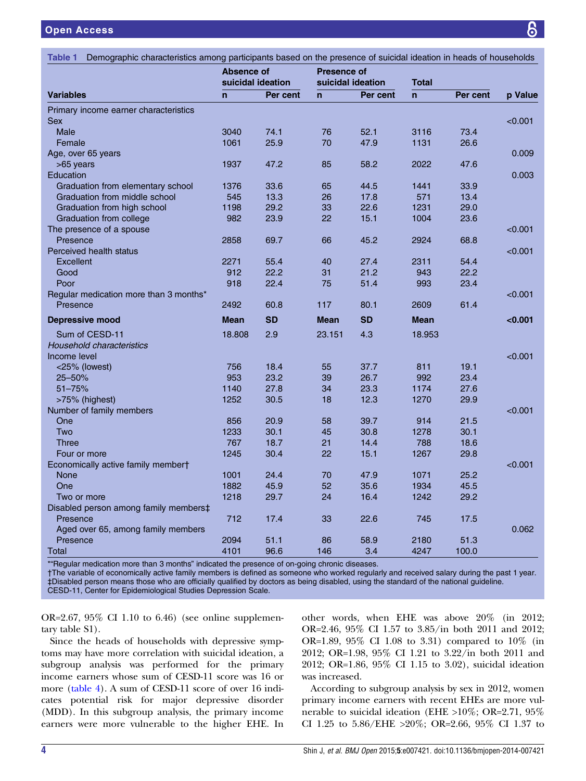<span id="page-3-0"></span>

| <b>Table 1</b><br>Demographic characteristics among participants based on the presence of suicidal ideation in heads of households |                                        |           |                    |                   |                |          |         |
|------------------------------------------------------------------------------------------------------------------------------------|----------------------------------------|-----------|--------------------|-------------------|----------------|----------|---------|
|                                                                                                                                    | <b>Absence of</b><br>suicidal ideation |           | <b>Presence of</b> | suicidal ideation | <b>Total</b>   |          |         |
| <b>Variables</b>                                                                                                                   | $\overline{ }$                         | Per cent  | $\mathsf{n}$       | Per cent          | $\overline{ }$ | Per cent | p Value |
| Primary income earner characteristics                                                                                              |                                        |           |                    |                   |                |          |         |
| <b>Sex</b>                                                                                                                         |                                        |           |                    |                   |                |          | < 0.001 |
| <b>Male</b>                                                                                                                        | 3040                                   | 74.1      | 76                 | 52.1              | 3116           | 73.4     |         |
| Female                                                                                                                             | 1061                                   | 25.9      | 70                 | 47.9              | 1131           | 26.6     |         |
| Age, over 65 years                                                                                                                 |                                        |           |                    |                   |                |          | 0.009   |
| $>65$ years                                                                                                                        | 1937                                   | 47.2      | 85                 | 58.2              | 2022           | 47.6     |         |
| Education                                                                                                                          |                                        |           |                    |                   |                |          | 0.003   |
| Graduation from elementary school                                                                                                  | 1376                                   | 33.6      | 65                 | 44.5              | 1441           | 33.9     |         |
| Graduation from middle school                                                                                                      | 545                                    | 13.3      | 26                 | 17.8              | 571            | 13.4     |         |
| Graduation from high school                                                                                                        | 1198                                   | 29.2      | 33                 | 22.6              | 1231           | 29.0     |         |
| Graduation from college                                                                                                            | 982                                    | 23.9      | 22                 | 15.1              | 1004           | 23.6     |         |
| The presence of a spouse                                                                                                           |                                        |           |                    |                   |                |          | < 0.001 |
| Presence                                                                                                                           | 2858                                   | 69.7      | 66                 | 45.2              | 2924           | 68.8     |         |
| Perceived health status                                                                                                            |                                        |           |                    |                   |                |          | < 0.001 |
| <b>Excellent</b>                                                                                                                   | 2271                                   | 55.4      | 40                 | 27.4              | 2311           | 54.4     |         |
| Good                                                                                                                               | 912                                    | 22.2      | 31                 | 21.2              | 943            | 22.2     |         |
| Poor                                                                                                                               | 918                                    | 22.4      | 75                 | 51.4              | 993            | 23.4     |         |
| Regular medication more than 3 months*                                                                                             |                                        |           |                    |                   |                |          | < 0.001 |
| Presence                                                                                                                           | 2492                                   | 60.8      | 117                | 80.1              | 2609           | 61.4     |         |
| <b>Depressive mood</b>                                                                                                             | <b>Mean</b>                            | <b>SD</b> | <b>Mean</b>        | <b>SD</b>         | <b>Mean</b>    |          | < 0.001 |
| Sum of CESD-11                                                                                                                     | 18,808                                 | 2.9       | 23.151             | 4.3               | 18.953         |          |         |
| <b>Household characteristics</b>                                                                                                   |                                        |           |                    |                   |                |          |         |
| Income level                                                                                                                       |                                        |           |                    |                   |                |          | < 0.001 |
| <25% (lowest)                                                                                                                      | 756                                    | 18.4      | 55                 | 37.7              | 811            | 19.1     |         |
| 25-50%                                                                                                                             | 953                                    | 23.2      | 39                 | 26.7              | 992            | 23.4     |         |
| $51 - 75%$                                                                                                                         | 1140                                   | 27.8      | 34                 | 23.3              | 1174           | 27.6     |         |
| >75% (highest)                                                                                                                     | 1252                                   | 30.5      | 18                 | 12.3              | 1270           | 29.9     |         |
| Number of family members                                                                                                           |                                        |           |                    |                   |                |          | < 0.001 |
| One                                                                                                                                | 856                                    | 20.9      | 58                 | 39.7              | 914            | 21.5     |         |
| Two                                                                                                                                | 1233                                   | 30.1      | 45                 | 30.8              | 1278           | 30.1     |         |
| <b>Three</b>                                                                                                                       | 767                                    | 18.7      | 21                 | 14.4              | 788            | 18.6     |         |
| Four or more                                                                                                                       | 1245                                   | 30.4      | 22                 | 15.1              | 1267           | 29.8     |         |
| Economically active family membert                                                                                                 |                                        |           |                    |                   |                |          | < 0.001 |
| <b>None</b>                                                                                                                        | 1001                                   | 24.4      | 70                 | 47.9              | 1071           | 25.2     |         |
| One                                                                                                                                | 1882                                   | 45.9      | 52                 | 35.6              | 1934           | 45.5     |         |
| Two or more                                                                                                                        | 1218                                   | 29.7      | 24                 | 16.4              | 1242           | 29.2     |         |
| Disabled person among family members‡                                                                                              |                                        |           |                    |                   |                |          |         |
| Presence                                                                                                                           | 712                                    | 17.4      | 33                 | 22.6              | 745            | 17.5     |         |
|                                                                                                                                    |                                        |           |                    |                   |                |          |         |
|                                                                                                                                    |                                        |           |                    |                   |                |          |         |
| Aged over 65, among family members<br>Presence                                                                                     | 2094                                   | 51.1      | 86                 | 58.9              | 2180           | 51.3     | 0.062   |

Regular medication more than 3 months" indicated the presence of on-going chronic disease

†The variable of economically active family members is defined as someone who worked regularly and received salary during the past 1 year. ‡Disabled person means those who are officially qualified by doctors as being disabled, using the standard of the national guideline. CESD-11, Center for Epidemiological Studies Depression Scale.

OR=2.67, 95% CI 1.10 to 6.46) (see online supplementary table S1).

Since the heads of households with depressive symptoms may have more correlation with suicidal ideation, a subgroup analysis was performed for the primary income earners whose sum of CESD-11 score was 16 or more [\(table 4\)](#page-6-0). A sum of CESD-11 score of over 16 indicates potential risk for major depressive disorder (MDD). In this subgroup analysis, the primary income earners were more vulnerable to the higher EHE. In

other words, when EHE was above 20% (in 2012; OR=2.46, 95% CI 1.57 to 3.85/in both 2011 and 2012; OR=1.89, 95% CI 1.08 to 3.31) compared to 10% (in 2012; OR=1.98, 95% CI 1.21 to 3.22/in both 2011 and 2012; OR=1.86, 95% CI 1.15 to 3.02), suicidal ideation was increased.

According to subgroup analysis by sex in 2012, women primary income earners with recent EHEs are more vulnerable to suicidal ideation (EHE >10%; OR=2.71, 95% CI 1.25 to 5.86/EHE >20%; OR=2.66, 95% CI 1.37 to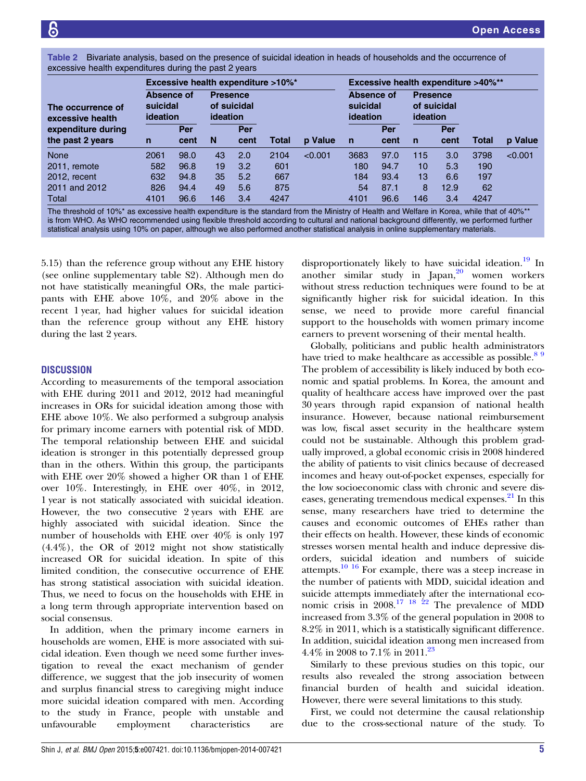<span id="page-4-0"></span>Table 2 Bivariate analysis, based on the presence of suicidal ideation in heads of households and the occurrence of excessive health expenditures during the past 2 years

|                                       | <b>Excessive health expenditure &gt;10%*</b> |      |                                            |      |       |         |                                           | <b>Excessive health expenditure &gt;40%**</b> |                                            |                  |       |         |  |
|---------------------------------------|----------------------------------------------|------|--------------------------------------------|------|-------|---------|-------------------------------------------|-----------------------------------------------|--------------------------------------------|------------------|-------|---------|--|
| The occurrence of<br>excessive health | Absence of<br>suicidal<br>ideation           |      | <b>Presence</b><br>of suicidal<br>ideation |      |       |         | Absence of<br>suicidal<br><b>ideation</b> |                                               | <b>Presence</b><br>of suicidal<br>ideation |                  |       |         |  |
| expenditure during                    |                                              | Per  |                                            | Per  |       |         |                                           | Per                                           |                                            | Per              |       |         |  |
| the past 2 years                      | n                                            | cent | N                                          | cent | Total | p Value | n                                         | cent                                          | $\mathsf{n}$                               | cent             | Total | p Value |  |
| <b>None</b>                           | 2061                                         | 98.0 | 43                                         | 2.0  | 2104  | < 0.001 | 3683                                      | 97.0                                          | 115                                        | 3.0 <sub>1</sub> | 3798  | < 0.001 |  |
| 2011, remote                          | 582                                          | 96.8 | 19                                         | 3.2  | 601   |         | 180                                       | 94.7                                          | 10                                         | 5.3              | 190   |         |  |
| 2012, recent                          | 632                                          | 94.8 | 35                                         | 5.2  | 667   |         | 184                                       | 93.4                                          | 13                                         | 6.6              | 197   |         |  |
| 2011 and 2012                         | 826                                          | 94.4 | 49                                         | 5.6  | 875   |         | 54                                        | 87.1                                          | 8                                          | 12.9             | 62    |         |  |
| Total                                 | 4101                                         | 96.6 | 146                                        | 3.4  | 4247  |         | 4101                                      | 96.6                                          | 146                                        | 3.4              | 4247  |         |  |

The threshold of 10%\* as excessive health expenditure is the standard from the Ministry of Health and Welfare in Korea, while that of 40%\*\* is from WHO. As WHO recommended using flexible threshold according to cultural and national background differently, we performed further statistical analysis using 10% on paper, although we also performed another statistical analysis in online [supplementary materials](http://bmjopen.bmj.com/lookup/suppl/doi:10.1136/bmjopen-2014-007421/-/DC1).

5.15) than the reference group without any EHE history (see online supplementary table S2). Although men do not have statistically meaningful ORs, the male participants with EHE above 10%, and 20% above in the recent 1 year, had higher values for suicidal ideation than the reference group without any EHE history during the last 2 years.

# **DISCUSSION**

According to measurements of the temporal association with EHE during 2011 and 2012, 2012 had meaningful increases in ORs for suicidal ideation among those with EHE above 10%. We also performed a subgroup analysis for primary income earners with potential risk of MDD. The temporal relationship between EHE and suicidal ideation is stronger in this potentially depressed group than in the others. Within this group, the participants with EHE over 20% showed a higher OR than 1 of EHE over 10%. Interestingly, in EHE over 40%, in 2012, 1 year is not statically associated with suicidal ideation. However, the two consecutive 2 years with EHE are highly associated with suicidal ideation. Since the number of households with EHE over 40% is only 197 (4.4%), the OR of 2012 might not show statistically increased OR for suicidal ideation. In spite of this limited condition, the consecutive occurrence of EHE has strong statistical association with suicidal ideation. Thus, we need to focus on the households with EHE in a long term through appropriate intervention based on social consensus.

In addition, when the primary income earners in households are women, EHE is more associated with suicidal ideation. Even though we need some further investigation to reveal the exact mechanism of gender difference, we suggest that the job insecurity of women and surplus financial stress to caregiving might induce more suicidal ideation compared with men. According to the study in France, people with unstable and unfavourable employment characteristics are

disproportionately likely to have suicidal ideation.<sup>[19](#page-8-0)</sup> In another similar study in Japan, $20$  women workers without stress reduction techniques were found to be at significantly higher risk for suicidal ideation. In this sense, we need to provide more careful financial support to the households with women primary income earners to prevent worsening of their mental health.

Globally, politicians and public health administrators have tried to make healthcare as accessible as possible.<sup>89</sup> The problem of accessibility is likely induced by both economic and spatial problems. In Korea, the amount and quality of healthcare access have improved over the past 30 years through rapid expansion of national health insurance. However, because national reimbursement was low, fiscal asset security in the healthcare system could not be sustainable. Although this problem gradually improved, a global economic crisis in 2008 hindered the ability of patients to visit clinics because of decreased incomes and heavy out-of-pocket expenses, especially for the low socioeconomic class with chronic and severe dis-eases, generating tremendous medical expenses.<sup>[21](#page-8-0)</sup> In this sense, many researchers have tried to determine the causes and economic outcomes of EHEs rather than their effects on health. However, these kinds of economic stresses worsen mental health and induce depressive disorders, suicidal ideation and numbers of suicide attempts.<sup>10 [16](#page-8-0)</sup> For example, there was a steep increase in the number of patients with MDD, suicidal ideation and suicide attempts immediately after the international economic crisis in  $2008^{17}$  <sup>18</sup> <sup>22</sup> The prevalence of MDD increased from 3.3% of the general population in 2008 to 8.2% in 2011, which is a statistically significant difference. In addition, suicidal ideation among men increased from 4.4% in 2008 to 7.1% in 2011.<sup>[23](#page-8-0)</sup>

Similarly to these previous studies on this topic, our results also revealed the strong association between financial burden of health and suicidal ideation. However, there were several limitations to this study.

First, we could not determine the causal relationship due to the cross-sectional nature of the study. To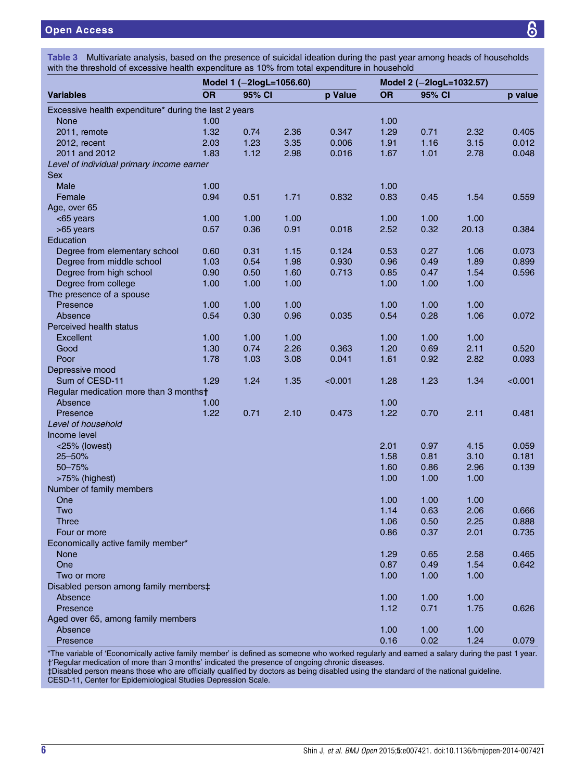# <span id="page-5-0"></span>Open Access

|  | Table 3 Multivariate analysis, based on the presence of suicidal ideation during the past year among heads of households |  |  |
|--|--------------------------------------------------------------------------------------------------------------------------|--|--|
|  | with the threshold of excessive health expenditure as 10% from total expenditure in household                            |  |  |

|                                                       | Model 1 (-2logL=1056.60) |        |      |         |           | Model 2 (-2logL=1032.57) |       |         |  |
|-------------------------------------------------------|--------------------------|--------|------|---------|-----------|--------------------------|-------|---------|--|
| <b>Variables</b>                                      | <b>OR</b>                | 95% CI |      | p Value | <b>OR</b> | 95% CI                   |       | p value |  |
| Excessive health expenditure* during the last 2 years |                          |        |      |         |           |                          |       |         |  |
| None                                                  | 1.00                     |        |      |         | 1.00      |                          |       |         |  |
| 2011, remote                                          | 1.32                     | 0.74   | 2.36 | 0.347   | 1.29      | 0.71                     | 2.32  | 0.405   |  |
| 2012, recent                                          | 2.03                     | 1.23   | 3.35 | 0.006   | 1.91      | 1.16                     | 3.15  | 0.012   |  |
| 2011 and 2012                                         | 1.83                     | 1.12   | 2.98 | 0.016   | 1.67      | 1.01                     | 2.78  | 0.048   |  |
| Level of individual primary income earner             |                          |        |      |         |           |                          |       |         |  |
| <b>Sex</b>                                            |                          |        |      |         |           |                          |       |         |  |
| Male                                                  | 1.00                     |        |      |         | 1.00      |                          |       |         |  |
| Female                                                | 0.94                     | 0.51   | 1.71 | 0.832   | 0.83      | 0.45                     | 1.54  | 0.559   |  |
| Age, over 65                                          |                          |        |      |         |           |                          |       |         |  |
| <65 years                                             | 1.00                     | 1.00   | 1.00 |         | 1.00      | 1.00                     | 1.00  |         |  |
| >65 years                                             | 0.57                     | 0.36   | 0.91 | 0.018   | 2.52      | 0.32                     | 20.13 | 0.384   |  |
| Education                                             |                          |        |      |         |           |                          |       |         |  |
| Degree from elementary school                         | 0.60                     | 0.31   | 1.15 | 0.124   | 0.53      | 0.27                     | 1.06  | 0.073   |  |
| Degree from middle school                             | 1.03                     | 0.54   | 1.98 | 0.930   | 0.96      | 0.49                     | 1.89  | 0.899   |  |
| Degree from high school                               | 0.90                     | 0.50   | 1.60 | 0.713   | 0.85      | 0.47                     | 1.54  | 0.596   |  |
| Degree from college                                   | 1.00                     | 1.00   | 1.00 |         | 1.00      | 1.00                     | 1.00  |         |  |
| The presence of a spouse                              |                          |        |      |         |           |                          |       |         |  |
| Presence                                              | 1.00                     | 1.00   | 1.00 |         | 1.00      | 1.00                     | 1.00  |         |  |
|                                                       |                          |        |      |         |           |                          |       |         |  |
| Absence                                               | 0.54                     | 0.30   | 0.96 | 0.035   | 0.54      | 0.28                     | 1.06  | 0.072   |  |
| Perceived health status                               |                          |        |      |         |           |                          |       |         |  |
| Excellent                                             | 1.00                     | 1.00   | 1.00 |         | 1.00      | 1.00                     | 1.00  |         |  |
| Good                                                  | 1.30                     | 0.74   | 2.26 | 0.363   | 1.20      | 0.69                     | 2.11  | 0.520   |  |
| Poor                                                  | 1.78                     | 1.03   | 3.08 | 0.041   | 1.61      | 0.92                     | 2.82  | 0.093   |  |
| Depressive mood                                       |                          |        |      |         |           |                          |       |         |  |
| Sum of CESD-11                                        | 1.29                     | 1.24   | 1.35 | < 0.001 | 1.28      | 1.23                     | 1.34  | < 0.001 |  |
| Regular medication more than 3 monthst                |                          |        |      |         |           |                          |       |         |  |
| Absence                                               | 1.00                     |        |      |         | 1.00      |                          |       |         |  |
| Presence                                              | 1.22                     | 0.71   | 2.10 | 0.473   | 1.22      | 0.70                     | 2.11  | 0.481   |  |
| Level of household                                    |                          |        |      |         |           |                          |       |         |  |
| Income level                                          |                          |        |      |         |           |                          |       |         |  |
| <25% (lowest)                                         |                          |        |      |         | 2.01      | 0.97                     | 4.15  | 0.059   |  |
| 25-50%                                                |                          |        |      |         | 1.58      | 0.81                     | 3.10  | 0.181   |  |
| 50-75%                                                |                          |        |      |         | 1.60      | 0.86                     | 2.96  | 0.139   |  |
| >75% (highest)                                        |                          |        |      |         | 1.00      | 1.00                     | 1.00  |         |  |
| Number of family members                              |                          |        |      |         |           |                          |       |         |  |
| One                                                   |                          |        |      |         | 1.00      | 1.00                     | 1.00  |         |  |
| Two                                                   |                          |        |      |         | 1.14      | 0.63                     | 2.06  | 0.666   |  |
| <b>Three</b>                                          |                          |        |      |         | 1.06      | 0.50                     | 2.25  | 0.888   |  |
| Four or more                                          |                          |        |      |         | 0.86      | 0.37                     | 2.01  | 0.735   |  |
| Economically active family member*                    |                          |        |      |         |           |                          |       |         |  |
| <b>None</b>                                           |                          |        |      |         | 1.29      | 0.65                     | 2.58  | 0.465   |  |
| One                                                   |                          |        |      |         | 0.87      | 0.49                     | 1.54  | 0.642   |  |
| Two or more                                           |                          |        |      |         | 1.00      | 1.00                     | 1.00  |         |  |
| Disabled person among family members‡                 |                          |        |      |         |           |                          |       |         |  |
| Absence                                               |                          |        |      |         | 1.00      | 1.00                     | 1.00  |         |  |
| Presence                                              |                          |        |      |         | 1.12      | 0.71                     | 1.75  | 0.626   |  |
| Aged over 65, among family members                    |                          |        |      |         |           |                          |       |         |  |
| Absence                                               |                          |        |      |         | 1.00      | 1.00                     | 1.00  |         |  |
| Presence                                              |                          |        |      |         | 0.16      | 0.02                     | 1.24  | 0.079   |  |

\*The variable of 'Economically active family member' is defined as someone who worked regularly and earned a salary during the past 1 year.

†'Regular medication of more than 3 months' indicated the presence of ongoing chronic diseases.

‡Disabled person means those who are officially qualified by doctors as being disabled using the standard of the national guideline. CESD-11, Center for Epidemiological Studies Depression Scale.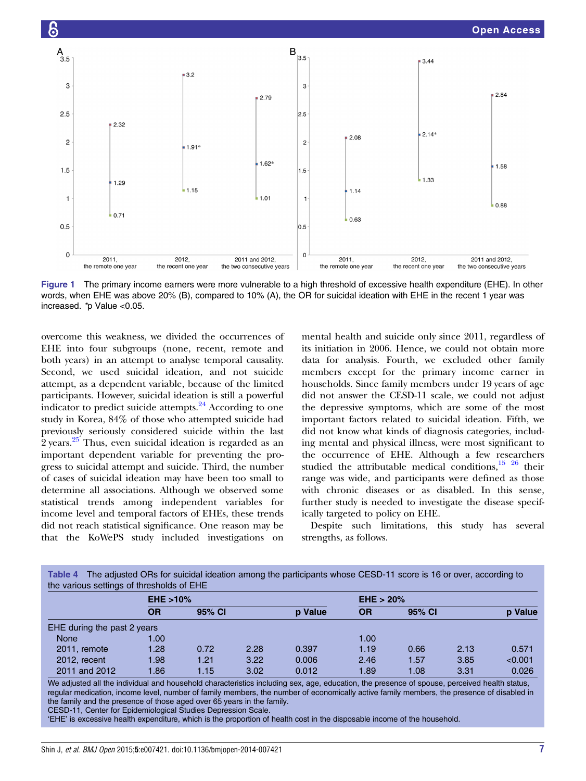<span id="page-6-0"></span>

Figure 1 The primary income earners were more vulnerable to a high threshold of excessive health expenditure (EHE). In other words, when EHE was above 20% (B), compared to 10% (A), the OR for suicidal ideation with EHE in the recent 1 year was increased. \*p Value <0.05.

overcome this weakness, we divided the occurrences of EHE into four subgroups (none, recent, remote and both years) in an attempt to analyse temporal causality. Second, we used suicidal ideation, and not suicide attempt, as a dependent variable, because of the limited participants. However, suicidal ideation is still a powerful indicator to predict suicide attempts. $24$  According to one study in Korea, 84% of those who attempted suicide had previously seriously considered suicide within the last 2 years.<sup>[25](#page-8-0)</sup> Thus, even suicidal ideation is regarded as an important dependent variable for preventing the progress to suicidal attempt and suicide. Third, the number of cases of suicidal ideation may have been too small to determine all associations. Although we observed some statistical trends among independent variables for income level and temporal factors of EHEs, these trends did not reach statistical significance. One reason may be that the KoWePS study included investigations on

mental health and suicide only since 2011, regardless of its initiation in 2006. Hence, we could not obtain more data for analysis. Fourth, we excluded other family members except for the primary income earner in households. Since family members under 19 years of age did not answer the CESD-11 scale, we could not adjust the depressive symptoms, which are some of the most important factors related to suicidal ideation. Fifth, we did not know what kinds of diagnosis categories, including mental and physical illness, were most significant to the occurrence of EHE. Although a few researchers studied the attributable medical conditions, $15^{15}$  26 their range was wide, and participants were defined as those with chronic diseases or as disabled. In this sense, further study is needed to investigate the disease specifically targeted to policy on EHE.

Despite such limitations, this study has several strengths, as follows.

| the various settings of thresholds of EHE |              |        |      |                |              |        |      |         |  |  |
|-------------------------------------------|--------------|--------|------|----------------|--------------|--------|------|---------|--|--|
|                                           | $EHE > 10\%$ |        |      |                | $EHE > 20\%$ |        |      |         |  |  |
|                                           | OR           | 95% CI |      | <b>p</b> Value | OR           | 95% CI |      | p Value |  |  |
| EHE during the past 2 years               |              |        |      |                |              |        |      |         |  |  |
| <b>None</b>                               | 1.00         |        |      |                | 1.00         |        |      |         |  |  |
| 2011, remote                              | 1.28         | 0.72   | 2.28 | 0.397          | 1.19         | 0.66   | 2.13 | 0.571   |  |  |
| 2012, recent                              | 1.98         | 1.21   | 3.22 | 0.006          | 2.46         | 1.57   | 3.85 | < 0.001 |  |  |
| 2011 and 2012                             | 1.86         | 1.15   | 3.02 | 0.012          | 1.89         | 1.08   | 3.31 | 0.026   |  |  |

Table 4 The adjusted ORs for suicidal ideation among the participants whose CESD-11 score is 16 or over, according to

We adjusted all the individual and household characteristics including sex, age, education, the presence of spouse, perceived health status, regular medication, income level, number of family members, the number of economically active family members, the presence of disabled in the family and the presence of those aged over 65 years in the family. CESD-11, Center for Epidemiological Studies Depression Scale.

'EHE' is excessive health expenditure, which is the proportion of health cost in the disposable income of the household.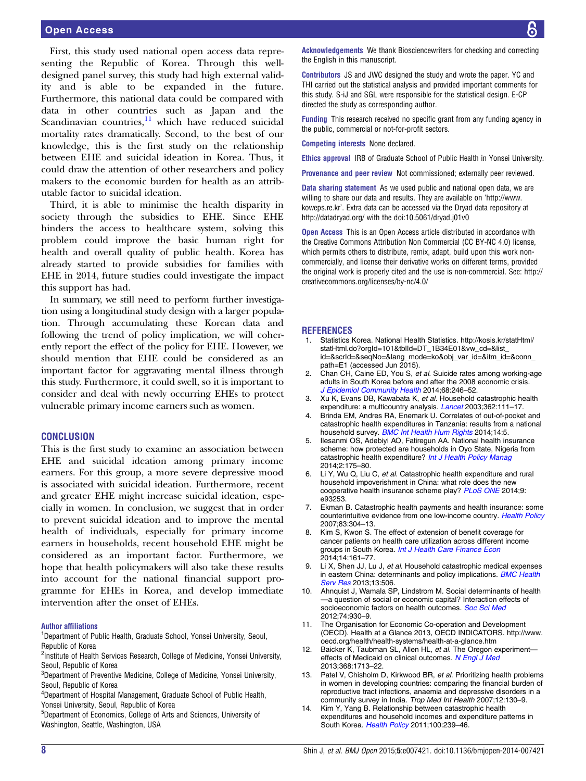<span id="page-7-0"></span>First, this study used national open access data representing the Republic of Korea. Through this welldesigned panel survey, this study had high external validity and is able to be expanded in the future. Furthermore, this national data could be compared with data in other countries such as Japan and the Scandinavian countries, $\frac{11}{1}$  which have reduced suicidal mortality rates dramatically. Second, to the best of our knowledge, this is the first study on the relationship between EHE and suicidal ideation in Korea. Thus, it could draw the attention of other researchers and policy makers to the economic burden for health as an attributable factor to suicidal ideation.

Third, it is able to minimise the health disparity in society through the subsidies to EHE. Since EHE hinders the access to healthcare system, solving this problem could improve the basic human right for health and overall quality of public health. Korea has already started to provide subsidies for families with EHE in 2014, future studies could investigate the impact this support has had.

In summary, we still need to perform further investigation using a longitudinal study design with a larger population. Through accumulating these Korean data and following the trend of policy implication, we will coherently report the effect of the policy for EHE. However, we should mention that EHE could be considered as an important factor for aggravating mental illness through this study. Furthermore, it could swell, so it is important to consider and deal with newly occurring EHEs to protect vulnerable primary income earners such as women.

#### **CONCLUSION**

This is the first study to examine an association between EHE and suicidal ideation among primary income earners. For this group, a more severe depressive mood is associated with suicidal ideation. Furthermore, recent and greater EHE might increase suicidal ideation, especially in women. In conclusion, we suggest that in order to prevent suicidal ideation and to improve the mental health of individuals, especially for primary income earners in households, recent household EHE might be considered as an important factor. Furthermore, we hope that health policymakers will also take these results into account for the national financial support programme for EHEs in Korea, and develop immediate intervention after the onset of EHEs.

#### Author affiliations

<sup>1</sup>Department of Public Health, Graduate School, Yonsei University, Seoul, Republic of Korea

<sup>2</sup>Institute of Health Services Research, College of Medicine, Yonsei University, Seoul, Republic of Korea

 ${}^{3}$ Department of Preventive Medicine, College of Medicine, Yonsei University, Seoul, Republic of Korea

4 Department of Hospital Management, Graduate School of Public Health, Yonsei University, Seoul, Republic of Korea

5 Department of Economics, College of Arts and Sciences, University of Washington, Seattle, Washington, USA

Acknowledgements We thank Biosciencewriters for checking and correcting the English in this manuscript.

Contributors JS and JWC designed the study and wrote the paper. YC and THI carried out the statistical analysis and provided important comments for this study. S-iJ and SGL were responsible for the statistical design. E-CP directed the study as corresponding author.

Funding This research received no specific grant from any funding agency in the public, commercial or not-for-profit sectors.

Competing interests None declared.

Ethics approval IRB of Graduate School of Public Health in Yonsei University.

Provenance and peer review Not commissioned; externally peer reviewed.

Data sharing statement As we used public and national open data, we are willing to share our data and results. They are available on '[http://www.](http://www.koweps.re.kr) [koweps.re.kr](http://www.koweps.re.kr)'. Extra data can be accessed via the Dryad data repository at <http://datadryad.org/> with the doi[:10.5061/dryad.j01v0](10.5061/dryad.j01v0)

Open Access This is an Open Access article distributed in accordance with the Creative Commons Attribution Non Commercial (CC BY-NC 4.0) license, which permits others to distribute, remix, adapt, build upon this work noncommercially, and license their derivative works on different terms, provided the original work is properly cited and the use is non-commercial. See: [http://](http://creativecommons.org/licenses/by-nc/4.0/) [creativecommons.org/licenses/by-nc/4.0/](http://creativecommons.org/licenses/by-nc/4.0/)

#### **REFERENCES**

- 1. Statistics Korea. National Health Statistics. [http://kosis.kr/statHtml/](http://kosis.kr/statHtml/statHtml.do?orgId=101&tblId=DT_1B34E01&vw_cd=&list_id=&scrId=&seqNo=&lang_mode=ko&obj_var_id=&itm_id=&conn_path=E1) [statHtml.do?orgId=101&tblId=DT\\_1B34E01&vw\\_cd=&list\\_](http://kosis.kr/statHtml/statHtml.do?orgId=101&tblId=DT_1B34E01&vw_cd=&list_id=&scrId=&seqNo=&lang_mode=ko&obj_var_id=&itm_id=&conn_path=E1) [id=&scrId=&seqNo=&lang\\_mode=ko&obj\\_var\\_id=&itm\\_id=&conn\\_](http://kosis.kr/statHtml/statHtml.do?orgId=101&tblId=DT_1B34E01&vw_cd=&list_id=&scrId=&seqNo=&lang_mode=ko&obj_var_id=&itm_id=&conn_path=E1) [path=E1](http://kosis.kr/statHtml/statHtml.do?orgId=101&tblId=DT_1B34E01&vw_cd=&list_id=&scrId=&seqNo=&lang_mode=ko&obj_var_id=&itm_id=&conn_path=E1) (accessed Jun 2015).
- 2. Chan CH, Caine ED, You S, et al. Suicide rates among working-age adults in South Korea before and after the 2008 economic crisis. [J Epidemiol Community Health](http://dx.doi.org/10.1136/jech-2013-202759) 2014;68:246-52.
- 3. Xu K, Evans DB, Kawabata K, et al. Household catastrophic health expenditure: a multicountry analysis. [Lancet](http://dx.doi.org/10.1016/S0140-6736(03)13861-5) 2003;362:111-17.
- 4. Brinda EM, Andres RA, Enemark U. Correlates of out-of-pocket and catastrophic health expenditures in Tanzania: results from a national household survey. **[BMC Int Health Hum Rights](http://dx.doi.org/10.1186/1472-698X-14-5) 2014;14:5.**
- 5. Ilesanmi OS, Adebiyi AO, Fatiregun AA. National health insurance scheme: how protected are households in Oyo State, Nigeria from catastrophic health expenditure? [Int J Health Policy Manag](http://dx.doi.org/10.15171/ijhpm.2014.39) 2014;2:175–80.
- Li Y, Wu Q, Liu C, et al. Catastrophic health expenditure and rural household impoverishment in China: what role does the new cooperative health insurance scheme play? [PLoS ONE](http://dx.doi.org/10.1371/journal.pone.0093253) 2014;9: e93253.
- 7. Ekman B. Catastrophic health payments and health insurance: some counterintuitive evidence from one low-income country. [Health Policy](http://dx.doi.org/10.1016/j.healthpol.2007.02.004) 2007;83:304–13.
- 8. Kim S, Kwon S. The effect of extension of benefit coverage for cancer patients on health care utilization across different income groups in South Korea. [Int J Health Care Finance Econ](http://dx.doi.org/10.1007/s10754-014-9144-y) 2014;14:161–77.
- 9. Li X, Shen JJ, Lu J, et al. Household catastrophic medical expenses in eastern China: determinants and policy implications. **[BMC Health](http://dx.doi.org/10.1186/1472-6963-13-506)** [Serv Res](http://dx.doi.org/10.1186/1472-6963-13-506) 2013;13:506.
- 10. Ahnquist J, Wamala SP, Lindstrom M. Social determinants of health —a question of social or economic capital? Interaction effects of socioeconomic factors on health outcomes. [Soc Sci Med](http://dx.doi.org/10.1016/j.socscimed.2011.11.026) 2012;74:930–9.
- 11. The Organisation for Economic Co-operation and Development (OECD). Health at a Glance 2013, OECD INDICATORS. [http://www.](http://www.oecd.org/health/health-systems/health-at-a-glance.htm) [oecd.org/health/health-systems/health-at-a-glance.htm](http://www.oecd.org/health/health-systems/health-at-a-glance.htm)
- 12. Baicker K, Taubman SL, Allen HL, et al. The Oregon experiment-effects of Medicaid on clinical outcomes. [N Engl J Med](http://dx.doi.org/10.1056/NEJMsa1212321) 2013;368:1713–22.
- 13. Patel V, Chisholm D, Kirkwood BR, et al. Prioritizing health problems in women in developing countries: comparing the financial burden of reproductive tract infections, anaemia and depressive disorders in a community survey in India. Trop Med Int Health 2007;12:130–9.
- 14. Kim Y, Yang B. Relationship between catastrophic health expenditures and household incomes and expenditure patterns in South Korea. [Health Policy](http://dx.doi.org/10.1016/j.healthpol.2010.08.008) 2011;100:239-46.